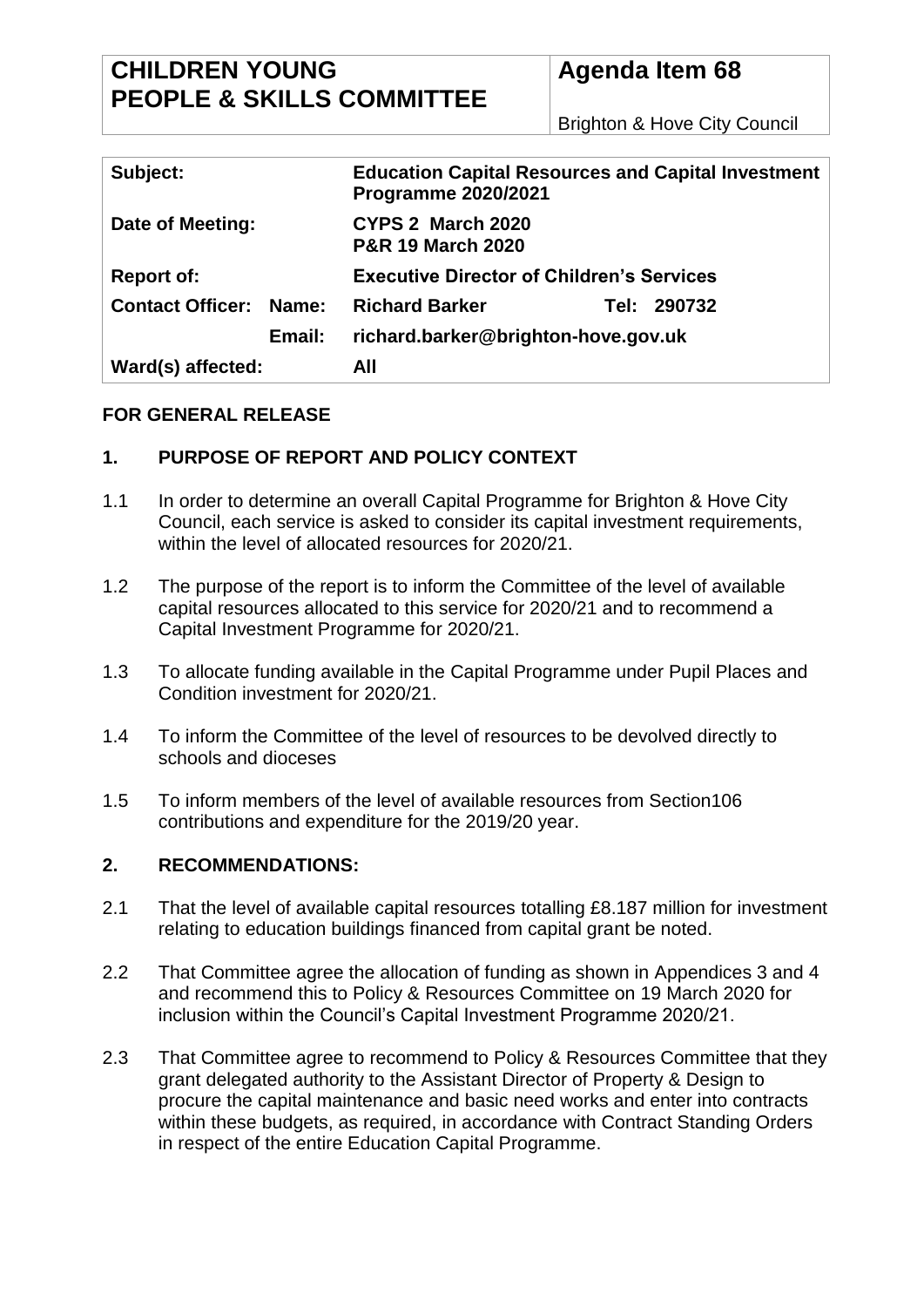# **CHILDREN YOUNG PEOPLE & SKILLS COMMITTEE**

# **Agenda Item 68**

Brighton & Hove City Council

| Subject:                      |        | <b>Education Capital Resources and Capital Investment</b><br><b>Programme 2020/2021</b> |  |             |
|-------------------------------|--------|-----------------------------------------------------------------------------------------|--|-------------|
| Date of Meeting:              |        | CYPS 2 March 2020<br><b>P&amp;R 19 March 2020</b>                                       |  |             |
| <b>Report of:</b>             |        | <b>Executive Director of Children's Services</b>                                        |  |             |
| <b>Contact Officer: Name:</b> |        | <b>Richard Barker</b>                                                                   |  | Tel: 290732 |
|                               | Email: | richard.barker@brighton-hove.gov.uk                                                     |  |             |
| Ward(s) affected:             |        | All                                                                                     |  |             |

#### **FOR GENERAL RELEASE**

# **1. PURPOSE OF REPORT AND POLICY CONTEXT**

- 1.1 In order to determine an overall Capital Programme for Brighton & Hove City Council, each service is asked to consider its capital investment requirements, within the level of allocated resources for 2020/21.
- 1.2 The purpose of the report is to inform the Committee of the level of available capital resources allocated to this service for 2020/21 and to recommend a Capital Investment Programme for 2020/21.
- 1.3 To allocate funding available in the Capital Programme under Pupil Places and Condition investment for 2020/21.
- 1.4 To inform the Committee of the level of resources to be devolved directly to schools and dioceses
- 1.5 To inform members of the level of available resources from Section106 contributions and expenditure for the 2019/20 year.

#### **2. RECOMMENDATIONS:**

- 2.1 That the level of available capital resources totalling £8.187 million for investment relating to education buildings financed from capital grant be noted.
- 2.2 That Committee agree the allocation of funding as shown in Appendices 3 and 4 and recommend this to Policy & Resources Committee on 19 March 2020 for inclusion within the Council's Capital Investment Programme 2020/21.
- 2.3 That Committee agree to recommend to Policy & Resources Committee that they grant delegated authority to the Assistant Director of Property & Design to procure the capital maintenance and basic need works and enter into contracts within these budgets, as required, in accordance with Contract Standing Orders in respect of the entire Education Capital Programme.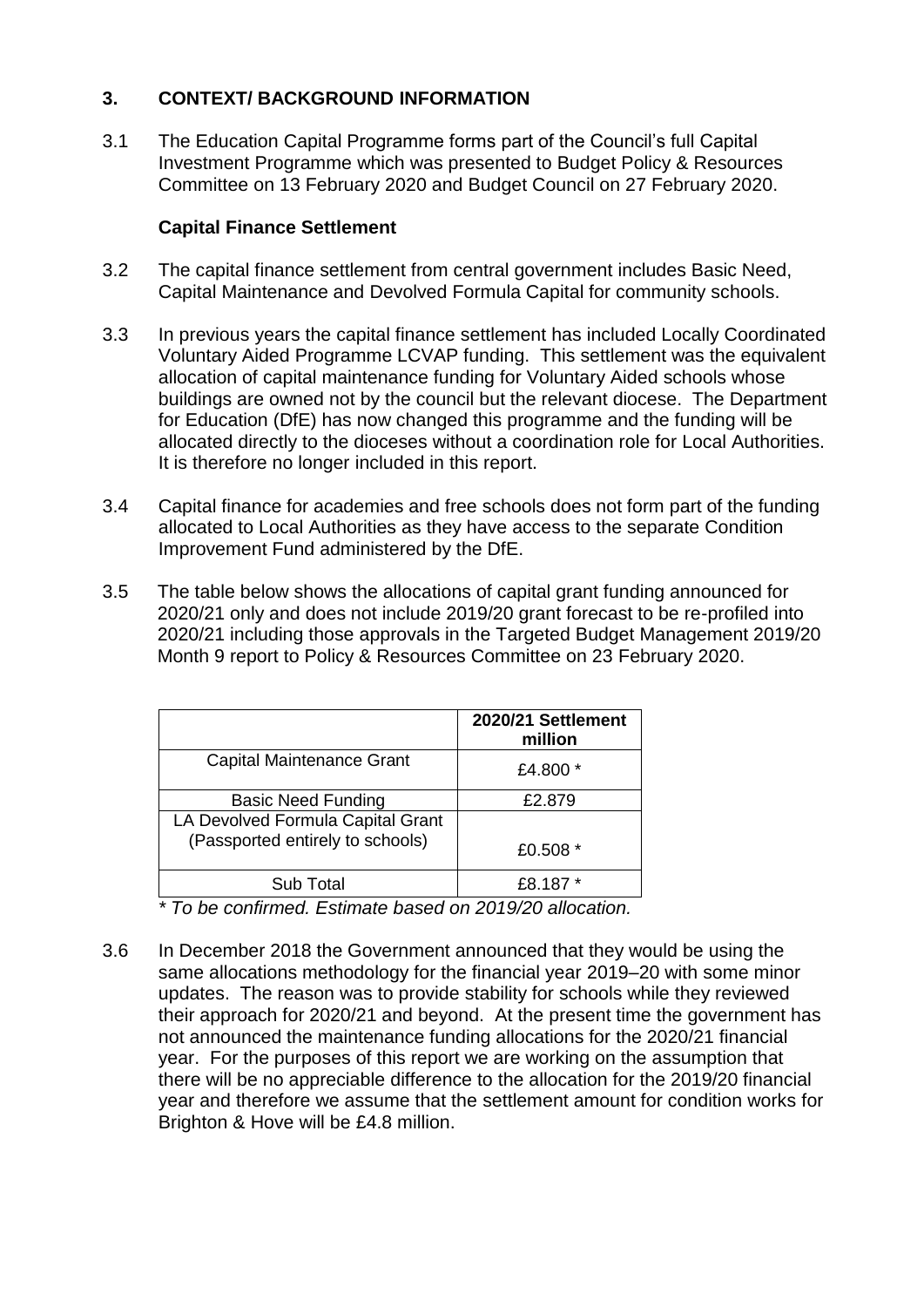# **3. CONTEXT/ BACKGROUND INFORMATION**

3.1 The Education Capital Programme forms part of the Council's full Capital Investment Programme which was presented to Budget Policy & Resources Committee on 13 February 2020 and Budget Council on 27 February 2020.

#### **Capital Finance Settlement**

- 3.2 The capital finance settlement from central government includes Basic Need, Capital Maintenance and Devolved Formula Capital for community schools.
- 3.3 In previous years the capital finance settlement has included Locally Coordinated Voluntary Aided Programme LCVAP funding. This settlement was the equivalent allocation of capital maintenance funding for Voluntary Aided schools whose buildings are owned not by the council but the relevant diocese. The Department for Education (DfE) has now changed this programme and the funding will be allocated directly to the dioceses without a coordination role for Local Authorities. It is therefore no longer included in this report.
- 3.4 Capital finance for academies and free schools does not form part of the funding allocated to Local Authorities as they have access to the separate Condition Improvement Fund administered by the DfE.
- 3.5 The table below shows the allocations of capital grant funding announced for 2020/21 only and does not include 2019/20 grant forecast to be re-profiled into 2020/21 including those approvals in the Targeted Budget Management 2019/20 Month 9 report to Policy & Resources Committee on 23 February 2020.

|                                   | 2020/21 Settlement<br>million |
|-----------------------------------|-------------------------------|
| <b>Capital Maintenance Grant</b>  | £4.800 *                      |
| <b>Basic Need Funding</b>         | £2.879                        |
| LA Devolved Formula Capital Grant |                               |
| (Passported entirely to schools)  | £0.508 *                      |
| Sub Total                         | £8.187 *                      |

*\* To be confirmed. Estimate based on 2019/20 allocation.*

3.6 In December 2018 the Government announced that they would be using the same allocations methodology for the financial year 2019–20 with some minor updates. The reason was to provide stability for schools while they reviewed their approach for 2020/21 and beyond. At the present time the government has not announced the maintenance funding allocations for the 2020/21 financial year. For the purposes of this report we are working on the assumption that there will be no appreciable difference to the allocation for the 2019/20 financial year and therefore we assume that the settlement amount for condition works for Brighton & Hove will be £4.8 million.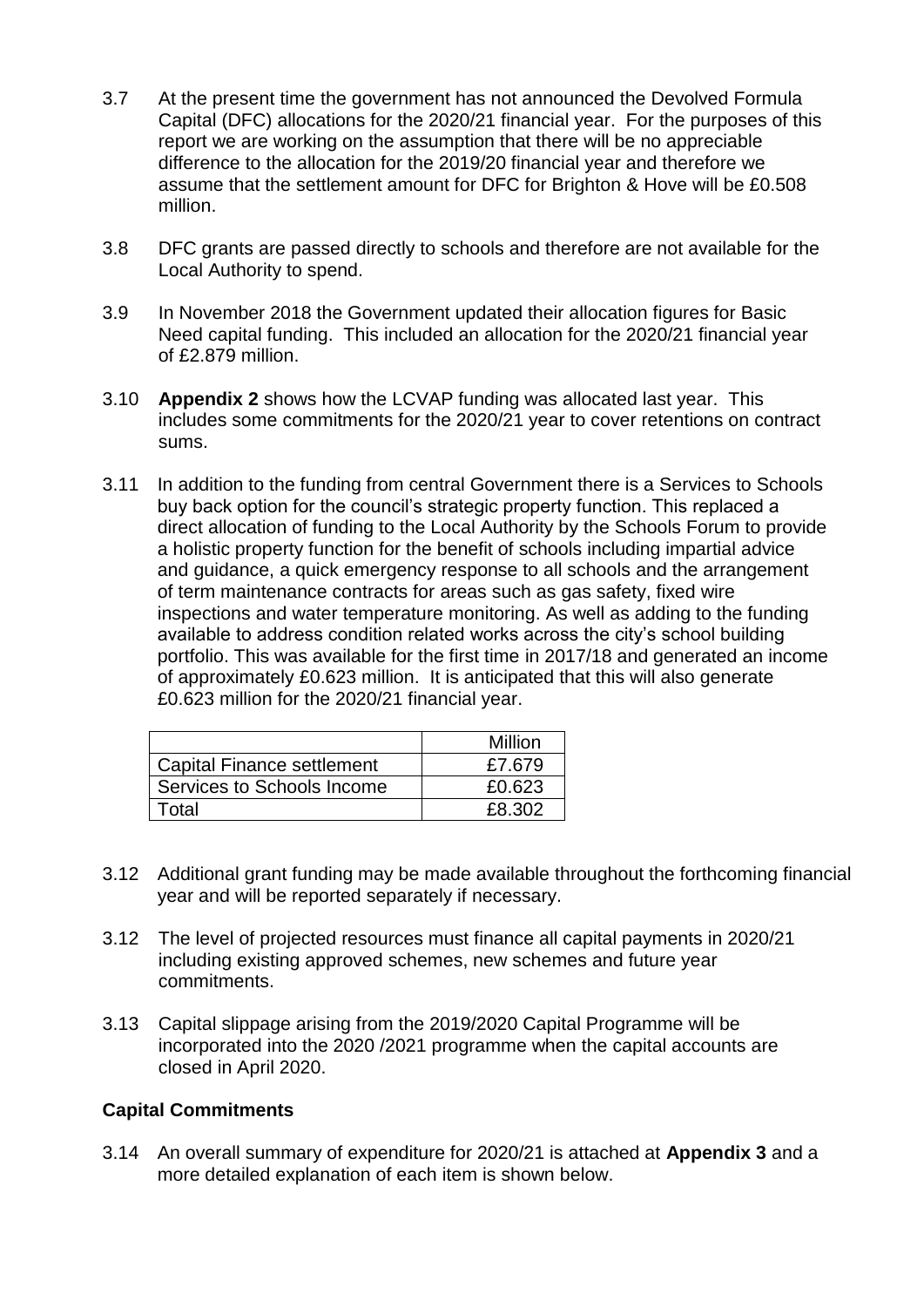- 3.7 At the present time the government has not announced the Devolved Formula Capital (DFC) allocations for the 2020/21 financial year. For the purposes of this report we are working on the assumption that there will be no appreciable difference to the allocation for the 2019/20 financial year and therefore we assume that the settlement amount for DFC for Brighton & Hove will be £0.508 million.
- 3.8 DFC grants are passed directly to schools and therefore are not available for the Local Authority to spend.
- 3.9 In November 2018 the Government updated their allocation figures for Basic Need capital funding. This included an allocation for the 2020/21 financial year of £2.879 million.
- 3.10 **Appendix 2** shows how the LCVAP funding was allocated last year. This includes some commitments for the 2020/21 year to cover retentions on contract sums.
- 3.11 In addition to the funding from central Government there is a Services to Schools buy back option for the council's strategic property function. This replaced a direct allocation of funding to the Local Authority by the Schools Forum to provide a holistic property function for the benefit of schools including impartial advice and guidance, a quick emergency response to all schools and the arrangement of term maintenance contracts for areas such as gas safety, fixed wire inspections and water temperature monitoring. As well as adding to the funding available to address condition related works across the city's school building portfolio. This was available for the first time in 2017/18 and generated an income of approximately £0.623 million. It is anticipated that this will also generate £0.623 million for the 2020/21 financial year.

|                                   | Million |
|-----------------------------------|---------|
| <b>Capital Finance settlement</b> | £7.679  |
| Services to Schools Income        | £0.623  |
| Total                             | F8 302  |

- 3.12 Additional grant funding may be made available throughout the forthcoming financial year and will be reported separately if necessary.
- 3.12 The level of projected resources must finance all capital payments in 2020/21 including existing approved schemes, new schemes and future year commitments.
- 3.13 Capital slippage arising from the 2019/2020 Capital Programme will be incorporated into the 2020 /2021 programme when the capital accounts are closed in April 2020.

# **Capital Commitments**

3.14 An overall summary of expenditure for 2020/21 is attached at **Appendix 3** and a more detailed explanation of each item is shown below.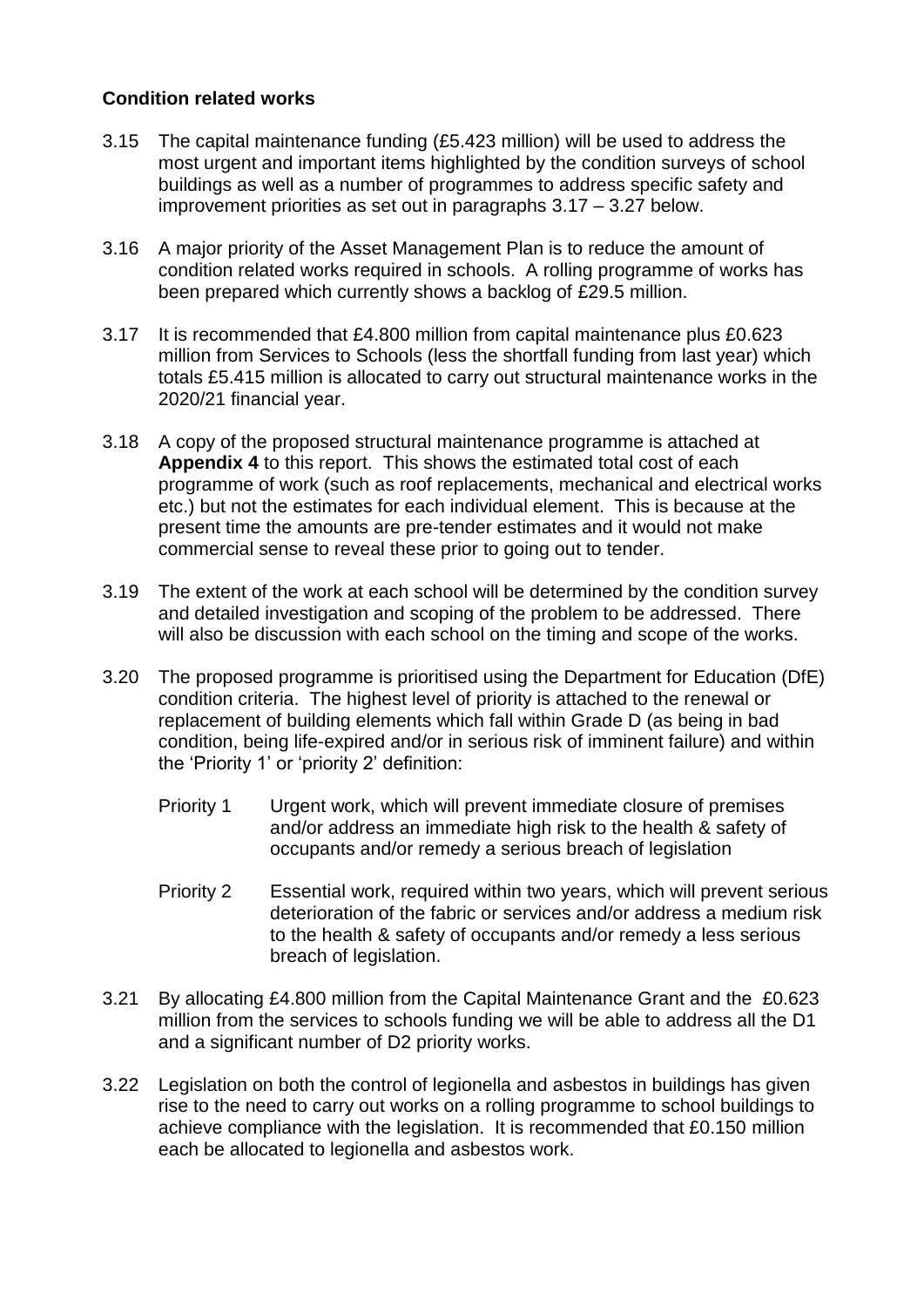#### **Condition related works**

- 3.15 The capital maintenance funding (£5.423 million) will be used to address the most urgent and important items highlighted by the condition surveys of school buildings as well as a number of programmes to address specific safety and improvement priorities as set out in paragraphs 3.17 – 3.27 below.
- 3.16 A major priority of the Asset Management Plan is to reduce the amount of condition related works required in schools. A rolling programme of works has been prepared which currently shows a backlog of £29.5 million.
- 3.17 It is recommended that £4.800 million from capital maintenance plus £0.623 million from Services to Schools (less the shortfall funding from last year) which totals £5.415 million is allocated to carry out structural maintenance works in the 2020/21 financial year.
- 3.18 A copy of the proposed structural maintenance programme is attached at **Appendix 4** to this report. This shows the estimated total cost of each programme of work (such as roof replacements, mechanical and electrical works etc.) but not the estimates for each individual element. This is because at the present time the amounts are pre-tender estimates and it would not make commercial sense to reveal these prior to going out to tender.
- 3.19 The extent of the work at each school will be determined by the condition survey and detailed investigation and scoping of the problem to be addressed. There will also be discussion with each school on the timing and scope of the works.
- 3.20 The proposed programme is prioritised using the Department for Education (DfE) condition criteria. The highest level of priority is attached to the renewal or replacement of building elements which fall within Grade D (as being in bad condition, being life-expired and/or in serious risk of imminent failure) and within the 'Priority 1' or 'priority 2' definition:
	- Priority 1 Urgent work, which will prevent immediate closure of premises and/or address an immediate high risk to the health & safety of occupants and/or remedy a serious breach of legislation
	- Priority 2 Essential work, required within two years, which will prevent serious deterioration of the fabric or services and/or address a medium risk to the health & safety of occupants and/or remedy a less serious breach of legislation.
- 3.21 By allocating £4.800 million from the Capital Maintenance Grant and the £0.623 million from the services to schools funding we will be able to address all the D1 and a significant number of D2 priority works.
- 3.22 Legislation on both the control of legionella and asbestos in buildings has given rise to the need to carry out works on a rolling programme to school buildings to achieve compliance with the legislation. It is recommended that £0.150 million each be allocated to legionella and asbestos work.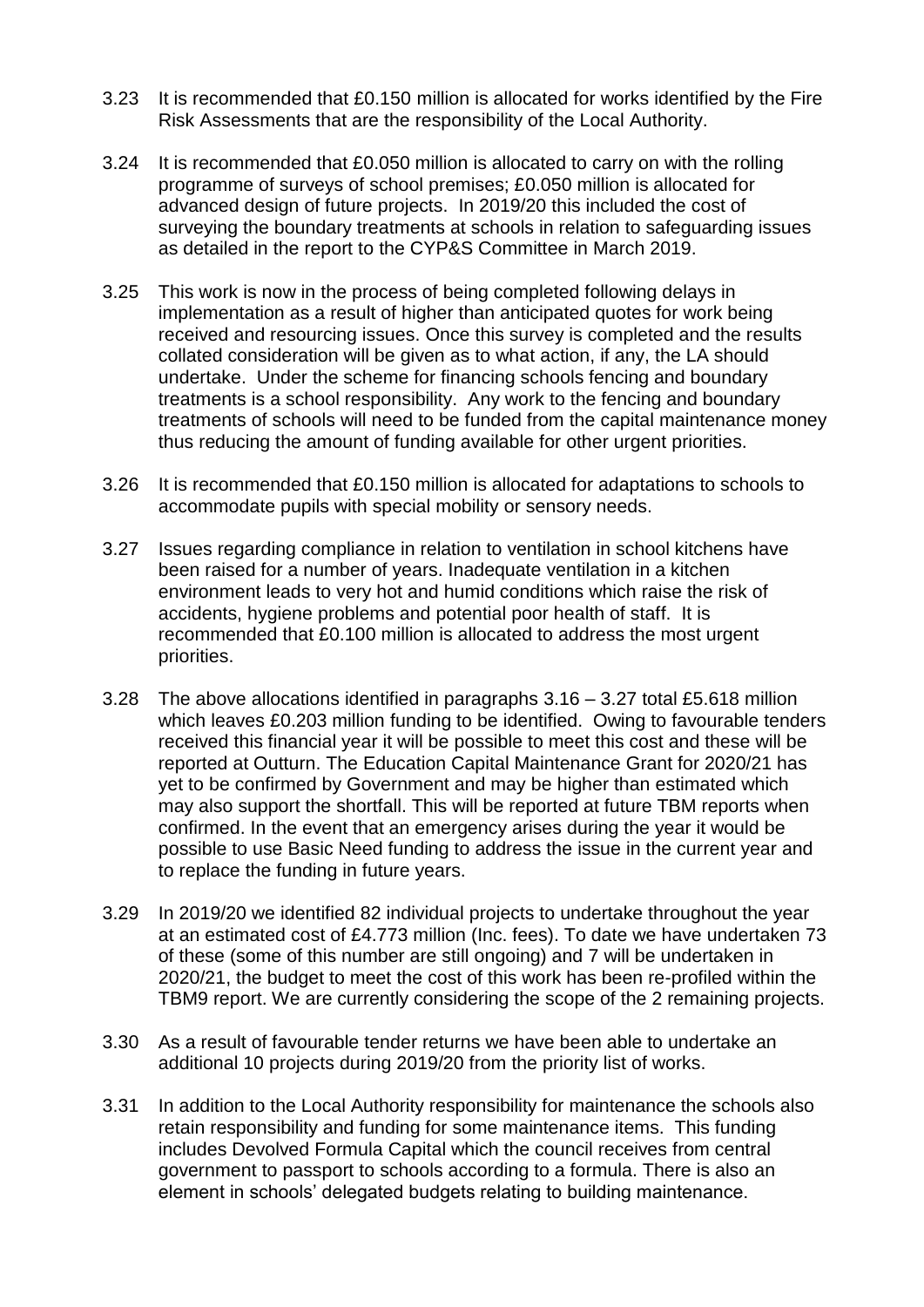- 3.23 It is recommended that £0.150 million is allocated for works identified by the Fire Risk Assessments that are the responsibility of the Local Authority.
- 3.24 It is recommended that £0.050 million is allocated to carry on with the rolling programme of surveys of school premises; £0.050 million is allocated for advanced design of future projects. In 2019/20 this included the cost of surveying the boundary treatments at schools in relation to safeguarding issues as detailed in the report to the CYP&S Committee in March 2019.
- 3.25 This work is now in the process of being completed following delays in implementation as a result of higher than anticipated quotes for work being received and resourcing issues. Once this survey is completed and the results collated consideration will be given as to what action, if any, the LA should undertake. Under the scheme for financing schools fencing and boundary treatments is a school responsibility. Any work to the fencing and boundary treatments of schools will need to be funded from the capital maintenance money thus reducing the amount of funding available for other urgent priorities.
- 3.26 It is recommended that £0.150 million is allocated for adaptations to schools to accommodate pupils with special mobility or sensory needs.
- 3.27 Issues regarding compliance in relation to ventilation in school kitchens have been raised for a number of years. Inadequate ventilation in a kitchen environment leads to very hot and humid conditions which raise the risk of accidents, hygiene problems and potential poor health of staff. It is recommended that £0.100 million is allocated to address the most urgent priorities.
- 3.28 The above allocations identified in paragraphs 3.16 3.27 total £5.618 million which leaves £0.203 million funding to be identified. Owing to favourable tenders received this financial year it will be possible to meet this cost and these will be reported at Outturn. The Education Capital Maintenance Grant for 2020/21 has yet to be confirmed by Government and may be higher than estimated which may also support the shortfall. This will be reported at future TBM reports when confirmed. In the event that an emergency arises during the year it would be possible to use Basic Need funding to address the issue in the current year and to replace the funding in future years.
- 3.29 In 2019/20 we identified 82 individual projects to undertake throughout the year at an estimated cost of £4.773 million (Inc. fees). To date we have undertaken 73 of these (some of this number are still ongoing) and 7 will be undertaken in 2020/21, the budget to meet the cost of this work has been re-profiled within the TBM9 report. We are currently considering the scope of the 2 remaining projects.
- 3.30 As a result of favourable tender returns we have been able to undertake an additional 10 projects during 2019/20 from the priority list of works.
- 3.31 In addition to the Local Authority responsibility for maintenance the schools also retain responsibility and funding for some maintenance items. This funding includes Devolved Formula Capital which the council receives from central government to passport to schools according to a formula. There is also an element in schools' delegated budgets relating to building maintenance.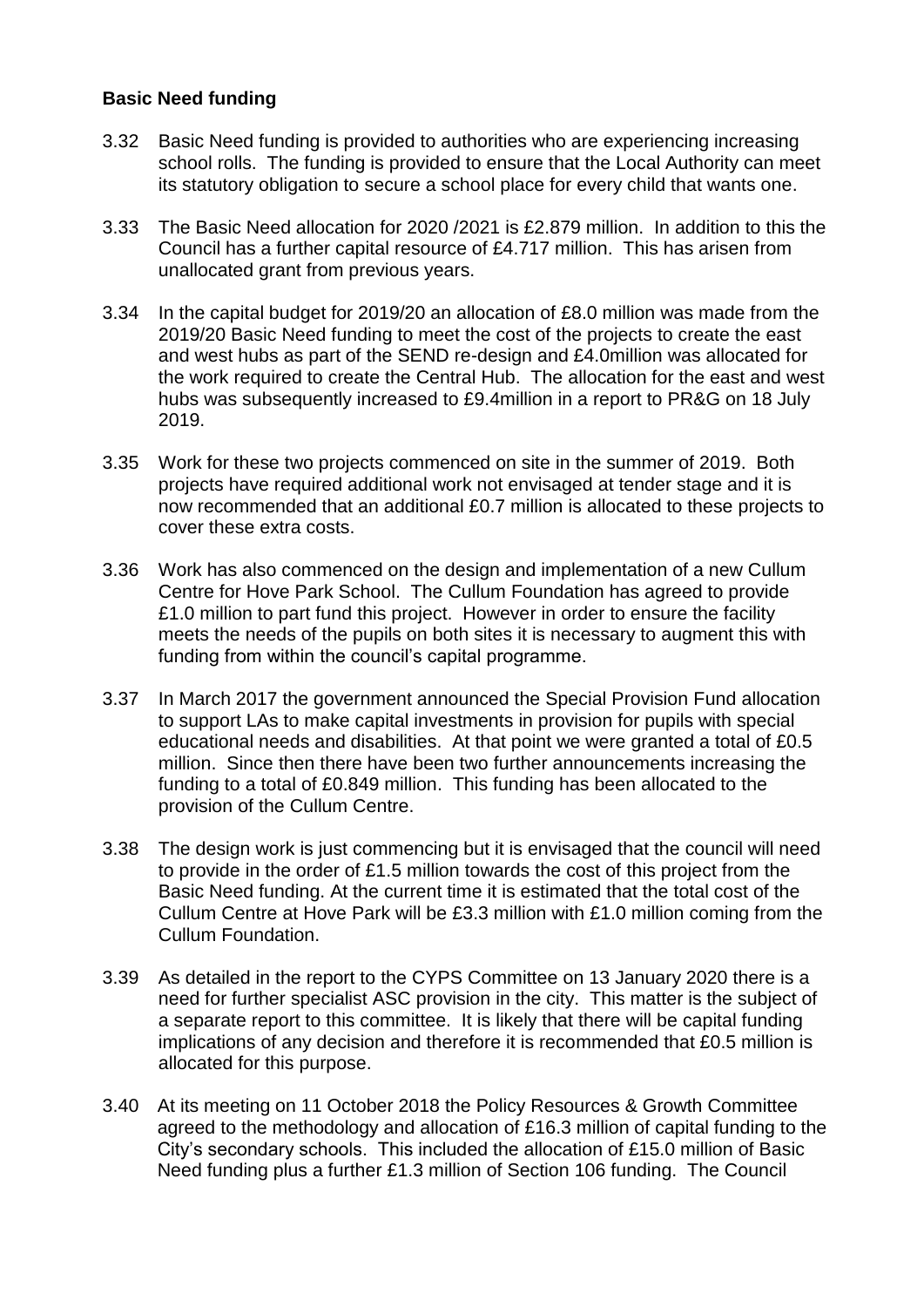#### **Basic Need funding**

- 3.32 Basic Need funding is provided to authorities who are experiencing increasing school rolls. The funding is provided to ensure that the Local Authority can meet its statutory obligation to secure a school place for every child that wants one.
- 3.33 The Basic Need allocation for 2020 /2021 is £2.879 million. In addition to this the Council has a further capital resource of £4.717 million. This has arisen from unallocated grant from previous years.
- 3.34 In the capital budget for 2019/20 an allocation of £8.0 million was made from the 2019/20 Basic Need funding to meet the cost of the projects to create the east and west hubs as part of the SEND re-design and £4.0million was allocated for the work required to create the Central Hub. The allocation for the east and west hubs was subsequently increased to £9.4million in a report to PR&G on 18 July 2019.
- 3.35 Work for these two projects commenced on site in the summer of 2019. Both projects have required additional work not envisaged at tender stage and it is now recommended that an additional £0.7 million is allocated to these projects to cover these extra costs.
- 3.36 Work has also commenced on the design and implementation of a new Cullum Centre for Hove Park School. The Cullum Foundation has agreed to provide £1.0 million to part fund this project. However in order to ensure the facility meets the needs of the pupils on both sites it is necessary to augment this with funding from within the council's capital programme.
- 3.37 In March 2017 the government announced the Special Provision Fund allocation to support LAs to make capital investments in provision for pupils with special educational needs and disabilities. At that point we were granted a total of £0.5 million. Since then there have been two further announcements increasing the funding to a total of £0.849 million. This funding has been allocated to the provision of the Cullum Centre.
- 3.38 The design work is just commencing but it is envisaged that the council will need to provide in the order of £1.5 million towards the cost of this project from the Basic Need funding. At the current time it is estimated that the total cost of the Cullum Centre at Hove Park will be £3.3 million with £1.0 million coming from the Cullum Foundation.
- 3.39 As detailed in the report to the CYPS Committee on 13 January 2020 there is a need for further specialist ASC provision in the city. This matter is the subject of a separate report to this committee. It is likely that there will be capital funding implications of any decision and therefore it is recommended that £0.5 million is allocated for this purpose.
- 3.40 At its meeting on 11 October 2018 the Policy Resources & Growth Committee agreed to the methodology and allocation of £16.3 million of capital funding to the City's secondary schools. This included the allocation of £15.0 million of Basic Need funding plus a further £1.3 million of Section 106 funding. The Council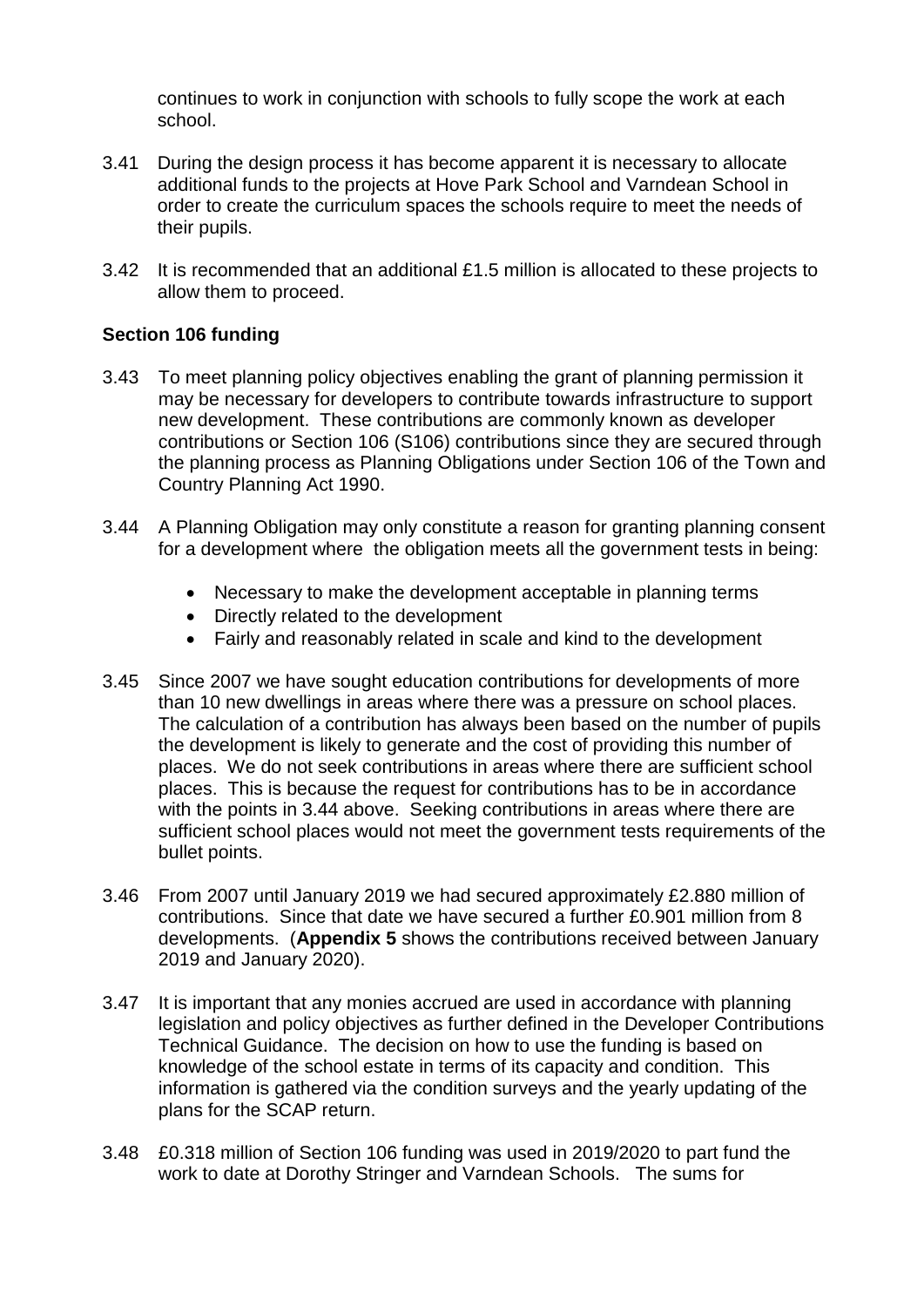continues to work in conjunction with schools to fully scope the work at each school.

- 3.41 During the design process it has become apparent it is necessary to allocate additional funds to the projects at Hove Park School and Varndean School in order to create the curriculum spaces the schools require to meet the needs of their pupils.
- 3.42 It is recommended that an additional £1.5 million is allocated to these projects to allow them to proceed.

# **Section 106 funding**

- 3.43 To meet planning policy objectives enabling the grant of planning permission it may be necessary for developers to contribute towards infrastructure to support new development. These contributions are commonly known as developer contributions or Section 106 (S106) contributions since they are secured through the planning process as Planning Obligations under Section 106 of the Town and Country Planning Act 1990.
- 3.44 A Planning Obligation may only constitute a reason for granting planning consent for a development where the obligation meets all the government tests in being:
	- Necessary to make the development acceptable in planning terms
	- Directly related to the development
	- Fairly and reasonably related in scale and kind to the development
- 3.45 Since 2007 we have sought education contributions for developments of more than 10 new dwellings in areas where there was a pressure on school places. The calculation of a contribution has always been based on the number of pupils the development is likely to generate and the cost of providing this number of places. We do not seek contributions in areas where there are sufficient school places. This is because the request for contributions has to be in accordance with the points in 3.44 above. Seeking contributions in areas where there are sufficient school places would not meet the government tests requirements of the bullet points.
- 3.46 From 2007 until January 2019 we had secured approximately £2.880 million of contributions. Since that date we have secured a further £0.901 million from 8 developments. (**Appendix 5** shows the contributions received between January 2019 and January 2020).
- 3.47 It is important that any monies accrued are used in accordance with planning legislation and policy objectives as further defined in the Developer Contributions Technical Guidance. The decision on how to use the funding is based on knowledge of the school estate in terms of its capacity and condition. This information is gathered via the condition surveys and the yearly updating of the plans for the SCAP return.
- 3.48 £0.318 million of Section 106 funding was used in 2019/2020 to part fund the work to date at Dorothy Stringer and Varndean Schools. The sums for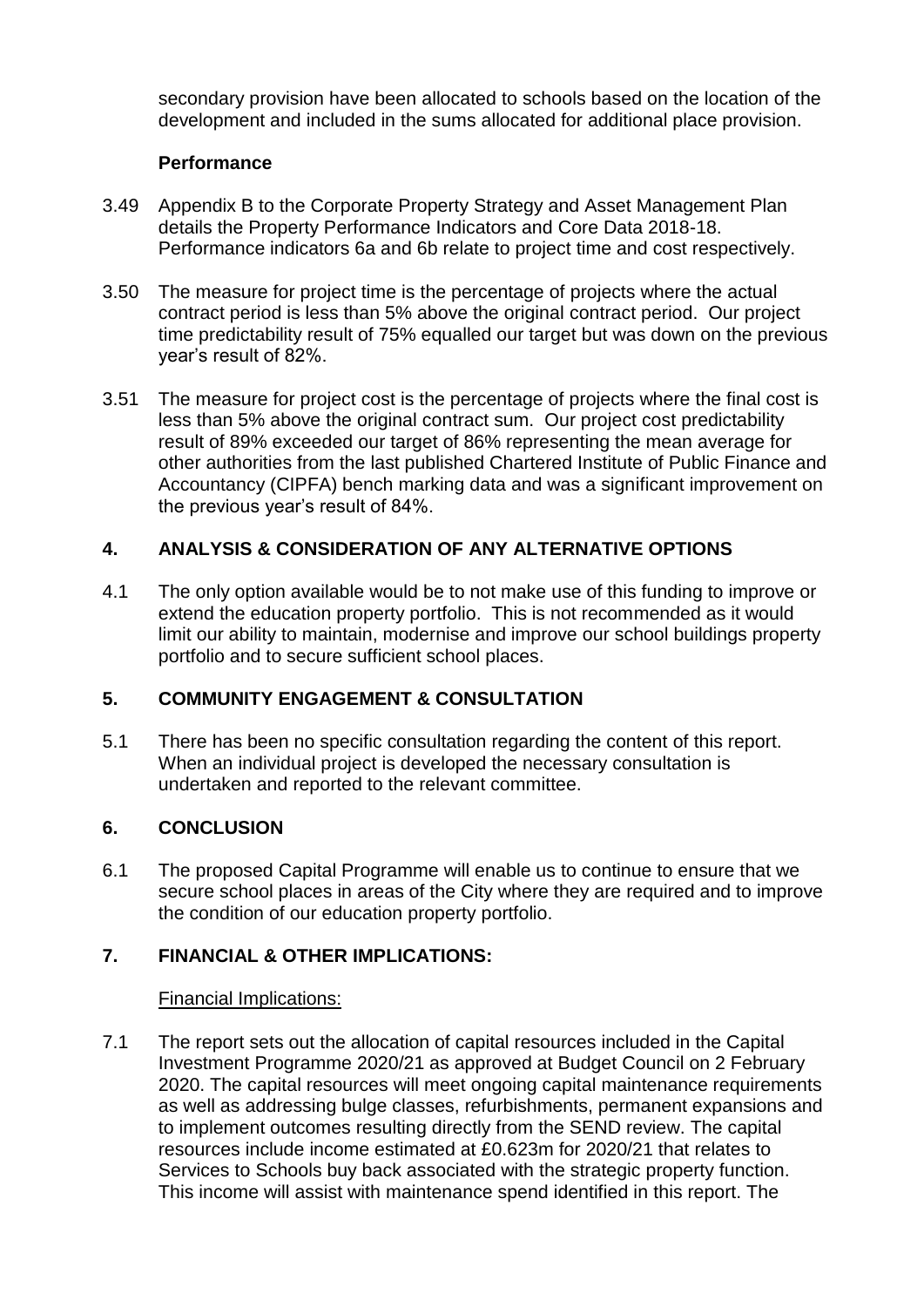secondary provision have been allocated to schools based on the location of the development and included in the sums allocated for additional place provision.

#### **Performance**

- 3.49 Appendix B to the Corporate Property Strategy and Asset Management Plan details the Property Performance Indicators and Core Data 2018-18. Performance indicators 6a and 6b relate to project time and cost respectively.
- 3.50 The measure for project time is the percentage of projects where the actual contract period is less than 5% above the original contract period. Our project time predictability result of 75% equalled our target but was down on the previous year's result of 82%.
- 3.51 The measure for project cost is the percentage of projects where the final cost is less than 5% above the original contract sum. Our project cost predictability result of 89% exceeded our target of 86% representing the mean average for other authorities from the last published Chartered Institute of Public Finance and Accountancy (CIPFA) bench marking data and was a significant improvement on the previous year's result of 84%.

# **4. ANALYSIS & CONSIDERATION OF ANY ALTERNATIVE OPTIONS**

4.1 The only option available would be to not make use of this funding to improve or extend the education property portfolio. This is not recommended as it would limit our ability to maintain, modernise and improve our school buildings property portfolio and to secure sufficient school places.

# **5. COMMUNITY ENGAGEMENT & CONSULTATION**

5.1 There has been no specific consultation regarding the content of this report. When an individual project is developed the necessary consultation is undertaken and reported to the relevant committee.

# **6. CONCLUSION**

6.1 The proposed Capital Programme will enable us to continue to ensure that we secure school places in areas of the City where they are required and to improve the condition of our education property portfolio.

# **7. FINANCIAL & OTHER IMPLICATIONS:**

# Financial Implications:

7.1 The report sets out the allocation of capital resources included in the Capital Investment Programme 2020/21 as approved at Budget Council on 2 February 2020. The capital resources will meet ongoing capital maintenance requirements as well as addressing bulge classes, refurbishments, permanent expansions and to implement outcomes resulting directly from the SEND review. The capital resources include income estimated at £0.623m for 2020/21 that relates to Services to Schools buy back associated with the strategic property function. This income will assist with maintenance spend identified in this report. The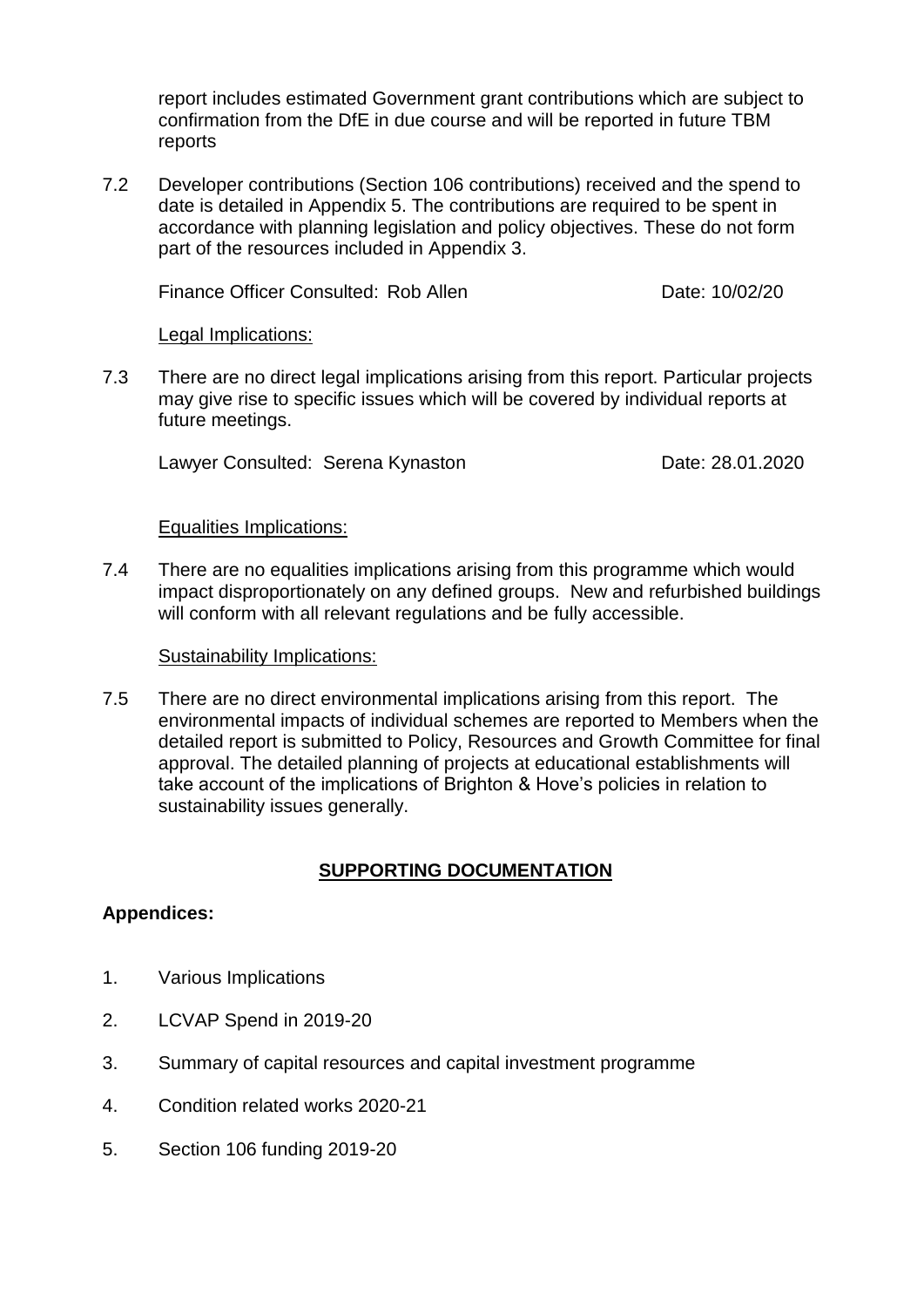report includes estimated Government grant contributions which are subject to confirmation from the DfE in due course and will be reported in future TBM reports

7.2 Developer contributions (Section 106 contributions) received and the spend to date is detailed in Appendix 5. The contributions are required to be spent in accordance with planning legislation and policy objectives. These do not form part of the resources included in Appendix 3.

Finance Officer Consulted: Rob Allen **Date: 10/02/20** 

#### Legal Implications:

7.3 There are no direct legal implications arising from this report. Particular projects may give rise to specific issues which will be covered by individual reports at future meetings.

Lawyer Consulted: Serena Kynaston Date: 28.01.2020

#### Equalities Implications:

7.4 There are no equalities implications arising from this programme which would impact disproportionately on any defined groups. New and refurbished buildings will conform with all relevant regulations and be fully accessible.

#### Sustainability Implications:

7.5 There are no direct environmental implications arising from this report. The environmental impacts of individual schemes are reported to Members when the detailed report is submitted to Policy, Resources and Growth Committee for final approval. The detailed planning of projects at educational establishments will take account of the implications of Brighton & Hove's policies in relation to sustainability issues generally.

# **SUPPORTING DOCUMENTATION**

#### **Appendices:**

- 1. Various Implications
- 2. LCVAP Spend in 2019-20
- 3. Summary of capital resources and capital investment programme
- 4. Condition related works 2020-21
- 5. Section 106 funding 2019-20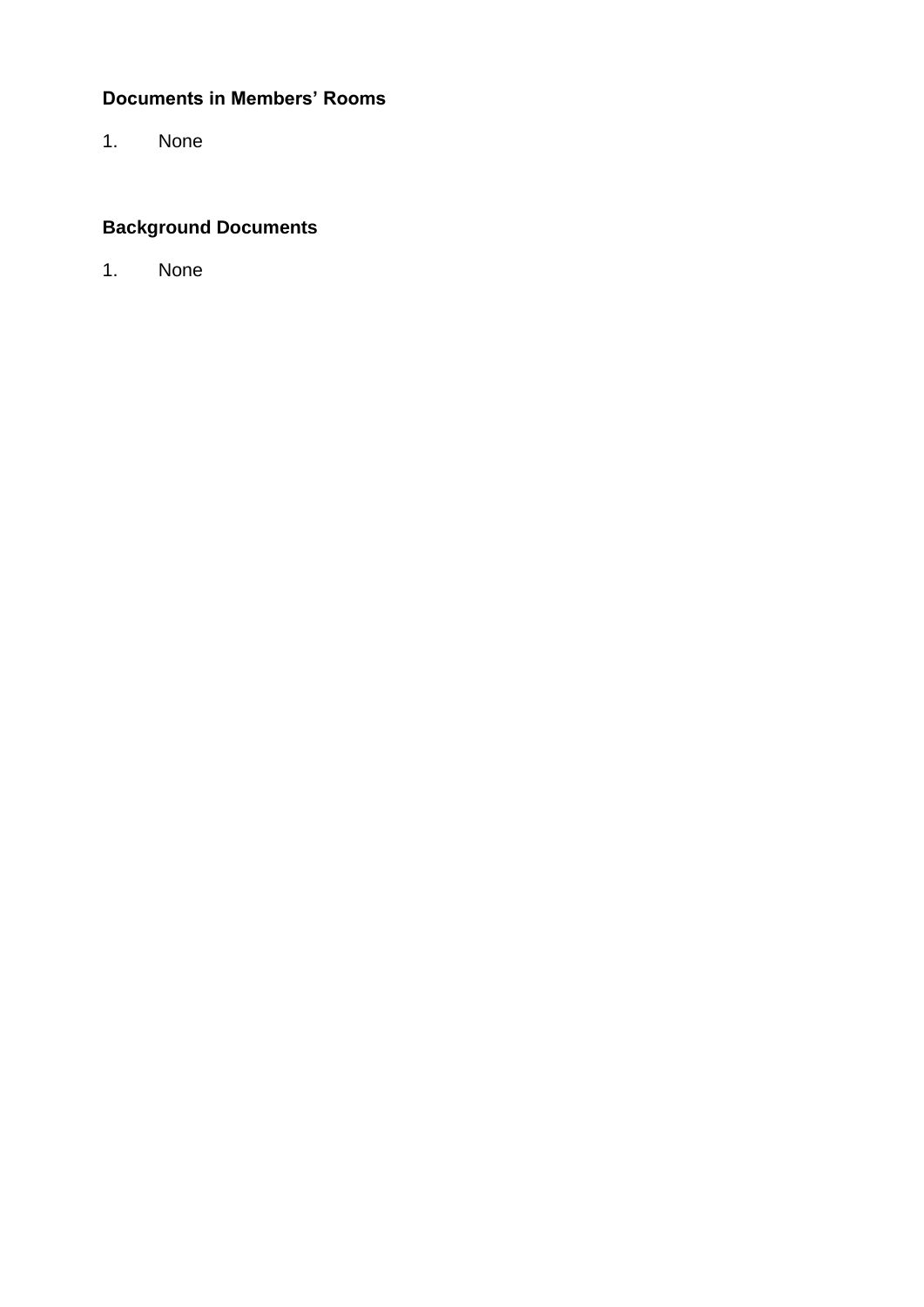# **Documents in Members' Rooms**

1. None

# **Background Documents**

1. None